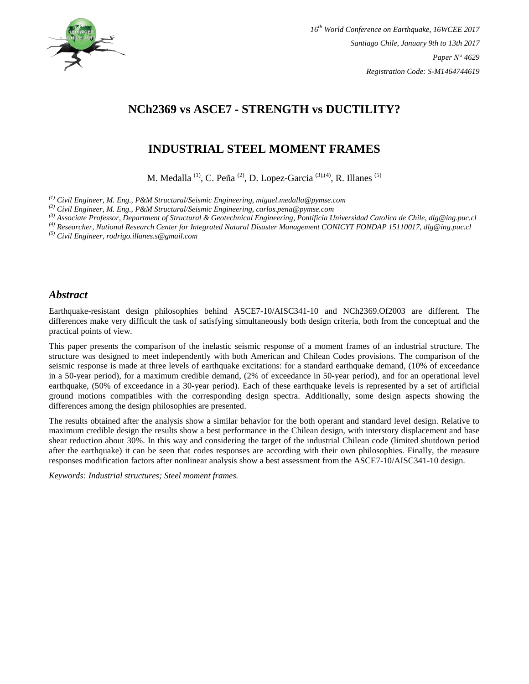

# **NCh2369 vs ASCE7 - STRENGTH vs DUCTILITY?**

# **INDUSTRIAL STEEL MOMENT FRAMES**

M. Medalla<sup>(1)</sup>, C. Peña<sup>(2)</sup>, D. Lopez-Garcia<sup>(3),(4)</sup>, R. Illanes<sup>(5)</sup>

*(1) Civil Engineer, M. Eng., P&M Structural/Seismic Engineering, miguel.medalla@pymse.com* 

*(2) Civil Engineer, M. Eng., P&M Structural/Seismic Engineering, carlos.pena@pymse.com*

*(3) Associate Professor, Department of Structural & Geotechnical Engineering, Pontificia Universidad Catolica de Chile, dlg@ing.puc.cl*

*(4) Researcher, National Research Center for Integrated Natural Disaster Management CONICYT FONDAP 15110017, dlg@ing.puc.cl*

*(5) Civil Engineer, rodrigo.illanes.s@gmail.com*

#### *Abstract*

Earthquake-resistant design philosophies behind ASCE7-10/AISC341-10 and NCh2369.Of2003 are different. The differences make very difficult the task of satisfying simultaneously both design criteria, both from the conceptual and the practical points of view.

This paper presents the comparison of the inelastic seismic response of a moment frames of an industrial structure. The structure was designed to meet independently with both American and Chilean Codes provisions. The comparison of the seismic response is made at three levels of earthquake excitations: for a standard earthquake demand, (10% of exceedance in a 50-year period), for a maximum credible demand, (2% of exceedance in 50-year period), and for an operational level earthquake, (50% of exceedance in a 30-year period). Each of these earthquake levels is represented by a set of artificial ground motions compatibles with the corresponding design spectra. Additionally, some design aspects showing the differences among the design philosophies are presented.

The results obtained after the analysis show a similar behavior for the both operant and standard level design. Relative to maximum credible design the results show a best performance in the Chilean design, with interstory displacement and base shear reduction about 30%. In this way and considering the target of the industrial Chilean code (limited shutdown period after the earthquake) it can be seen that codes responses are according with their own philosophies. Finally, the measure responses modification factors after nonlinear analysis show a best assessment from the ASCE7-10/AISC341-10 design.

*Keywords: Industrial structures; Steel moment frames.*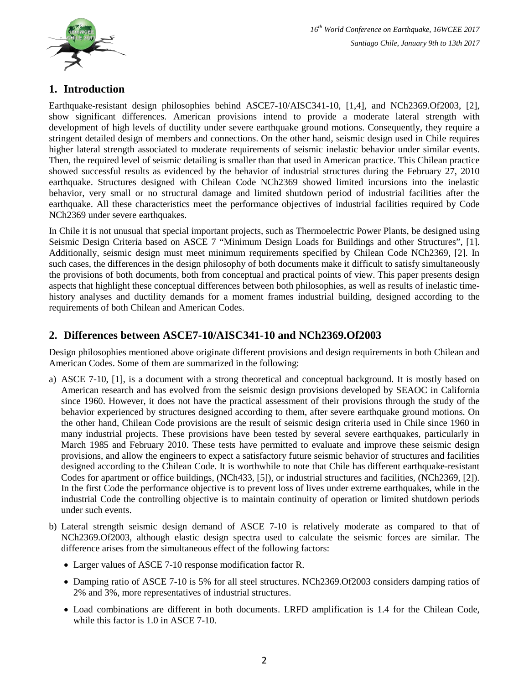

# **1. Introduction**

Earthquake-resistant design philosophies behind ASCE7-10/AISC341-10, [1,4], and NCh2369.Of2003, [2], show significant differences. American provisions intend to provide a moderate lateral strength with development of high levels of ductility under severe earthquake ground motions. Consequently, they require a stringent detailed design of members and connections. On the other hand, seismic design used in Chile requires higher lateral strength associated to moderate requirements of seismic inelastic behavior under similar events. Then, the required level of seismic detailing is smaller than that used in American practice. This Chilean practice showed successful results as evidenced by the behavior of industrial structures during the February 27, 2010 earthquake. Structures designed with Chilean Code NCh2369 showed limited incursions into the inelastic behavior, very small or no structural damage and limited shutdown period of industrial facilities after the earthquake. All these characteristics meet the performance objectives of industrial facilities required by Code NCh2369 under severe earthquakes.

In Chile it is not unusual that special important projects, such as Thermoelectric Power Plants, be designed using Seismic Design Criteria based on ASCE 7 "Minimum Design Loads for Buildings and other Structures", [1]. Additionally, seismic design must meet minimum requirements specified by Chilean Code NCh2369, [2]. In such cases, the differences in the design philosophy of both documents make it difficult to satisfy simultaneously the provisions of both documents, both from conceptual and practical points of view. This paper presents design aspects that highlight these conceptual differences between both philosophies, as well as results of inelastic timehistory analyses and ductility demands for a moment frames industrial building, designed according to the requirements of both Chilean and American Codes.

# **2. Differences between ASCE7-10/AISC341-10 and NCh2369.Of2003**

Design philosophies mentioned above originate different provisions and design requirements in both Chilean and American Codes. Some of them are summarized in the following:

- a) ASCE 7-10, [1], is a document with a strong theoretical and conceptual background. It is mostly based on American research and has evolved from the seismic design provisions developed by SEAOC in California since 1960. However, it does not have the practical assessment of their provisions through the study of the behavior experienced by structures designed according to them, after severe earthquake ground motions. On the other hand, Chilean Code provisions are the result of seismic design criteria used in Chile since 1960 in many industrial projects. These provisions have been tested by several severe earthquakes, particularly in March 1985 and February 2010. These tests have permitted to evaluate and improve these seismic design provisions, and allow the engineers to expect a satisfactory future seismic behavior of structures and facilities designed according to the Chilean Code. It is worthwhile to note that Chile has different earthquake-resistant Codes for apartment or office buildings, (NCh433, [5]), or industrial structures and facilities, (NCh2369, [2]). In the first Code the performance objective is to prevent loss of lives under extreme earthquakes, while in the industrial Code the controlling objective is to maintain continuity of operation or limited shutdown periods under such events.
- b) Lateral strength seismic design demand of ASCE 7-10 is relatively moderate as compared to that of NCh2369.Of2003, although elastic design spectra used to calculate the seismic forces are similar. The difference arises from the simultaneous effect of the following factors:
	- Larger values of ASCE 7-10 response modification factor R.
	- Damping ratio of ASCE 7-10 is 5% for all steel structures. NCh2369.Of2003 considers damping ratios of 2% and 3%, more representatives of industrial structures.
	- Load combinations are different in both documents. LRFD amplification is 1.4 for the Chilean Code, while this factor is 1.0 in ASCE 7-10.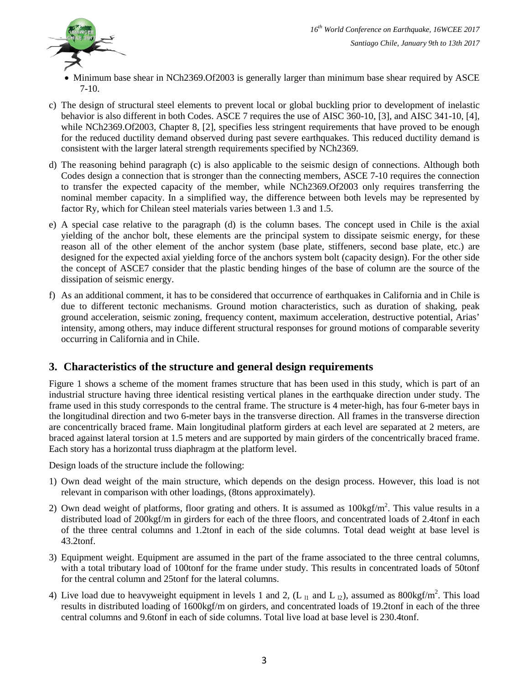

- Minimum base shear in NCh2369.Of2003 is generally larger than minimum base shear required by ASCE 7-10.
- c) The design of structural steel elements to prevent local or global buckling prior to development of inelastic behavior is also different in both Codes. ASCE 7 requires the use of AISC 360-10, [3], and AISC 341-10, [4], while NCh2369.Of2003, Chapter 8, [2], specifies less stringent requirements that have proved to be enough for the reduced ductility demand observed during past severe earthquakes. This reduced ductility demand is consistent with the larger lateral strength requirements specified by NCh2369.
- d) The reasoning behind paragraph (c) is also applicable to the seismic design of connections. Although both Codes design a connection that is stronger than the connecting members, ASCE 7-10 requires the connection to transfer the expected capacity of the member, while NCh2369.Of2003 only requires transferring the nominal member capacity. In a simplified way, the difference between both levels may be represented by factor Ry, which for Chilean steel materials varies between 1.3 and 1.5.
- e) A special case relative to the paragraph (d) is the column bases. The concept used in Chile is the axial yielding of the anchor bolt, these elements are the principal system to dissipate seismic energy, for these reason all of the other element of the anchor system (base plate, stiffeners, second base plate, etc.) are designed for the expected axial yielding force of the anchors system bolt (capacity design). For the other side the concept of ASCE7 consider that the plastic bending hinges of the base of column are the source of the dissipation of seismic energy.
- f) As an additional comment, it has to be considered that occurrence of earthquakes in California and in Chile is due to different tectonic mechanisms. Ground motion characteristics, such as duration of shaking, peak ground acceleration, seismic zoning, frequency content, maximum acceleration, destructive potential, Arias' intensity, among others, may induce different structural responses for ground motions of comparable severity occurring in California and in Chile.

# **3. Characteristics of the structure and general design requirements**

Figure 1 shows a scheme of the moment frames structure that has been used in this study, which is part of an industrial structure having three identical resisting vertical planes in the earthquake direction under study. The frame used in this study corresponds to the central frame. The structure is 4 meter-high, has four 6-meter bays in the longitudinal direction and two 6-meter bays in the transverse direction. All frames in the transverse direction are concentrically braced frame. Main longitudinal platform girders at each level are separated at 2 meters, are braced against lateral torsion at 1.5 meters and are supported by main girders of the concentrically braced frame. Each story has a horizontal truss diaphragm at the platform level.

Design loads of the structure include the following:

- 1) Own dead weight of the main structure, which depends on the design process. However, this load is not relevant in comparison with other loadings, (8tons approximately).
- 2) Own dead weight of platforms, floor grating and others. It is assumed as  $100\text{kgf/m}^2$ . This value results in a distributed load of 200kgf/m in girders for each of the three floors, and concentrated loads of 2.4tonf in each of the three central columns and 1.2tonf in each of the side columns. Total dead weight at base level is 43.2tonf.
- 3) Equipment weight. Equipment are assumed in the part of the frame associated to the three central columns, with a total tributary load of 100tonf for the frame under study. This results in concentrated loads of 50tonf for the central column and 25tonf for the lateral columns.
- 4) Live load due to heavyweight equipment in levels 1 and 2,  $(L_{11}$  and L<sub>12</sub>), assumed as 800kgf/m<sup>2</sup>. This load results in distributed loading of 1600kgf/m on girders, and concentrated loads of 19.2tonf in each of the three central columns and 9.6tonf in each of side columns. Total live load at base level is 230.4tonf.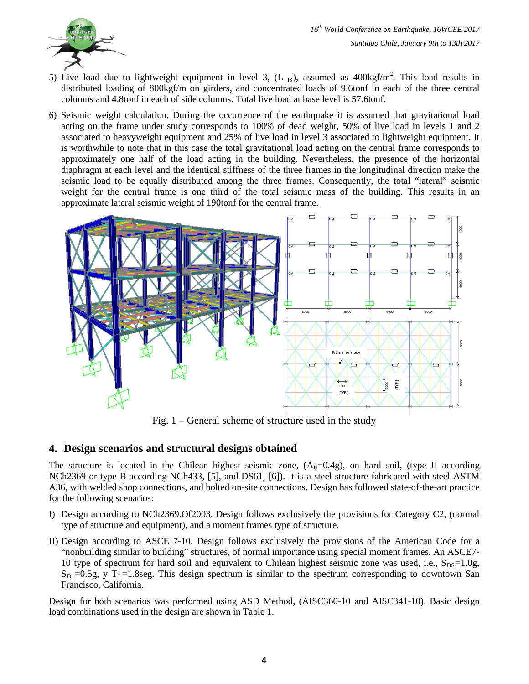

- 5) Live load due to lightweight equipment in level 3,  $(L_{13})$ , assumed as  $400\text{kgf/m}^2$ . This load results in distributed loading of 800kgf/m on girders, and concentrated loads of 9.6tonf in each of the three central columns and 4.8tonf in each of side columns. Total live load at base level is 57.6tonf.
- 6) Seismic weight calculation. During the occurrence of the earthquake it is assumed that gravitational load acting on the frame under study corresponds to 100% of dead weight, 50% of live load in levels 1 and 2 associated to heavyweight equipment and 25% of live load in level 3 associated to lightweight equipment. It is worthwhile to note that in this case the total gravitational load acting on the central frame corresponds to approximately one half of the load acting in the building. Nevertheless, the presence of the horizontal diaphragm at each level and the identical stiffness of the three frames in the longitudinal direction make the seismic load to be equally distributed among the three frames. Consequently, the total "lateral" seismic weight for the central frame is one third of the total seismic mass of the building. This results in an approximate lateral seismic weight of 190tonf for the central frame.



Fig. 1 – General scheme of structure used in the study

# **4. Design scenarios and structural designs obtained**

The structure is located in the Chilean highest seismic zone,  $(A_0=0.4g)$ , on hard soil, (type II according NCh2369 or type B according NCh433, [5], and DS61, [6]). It is a steel structure fabricated with steel ASTM A36, with welded shop connections, and bolted on-site connections. Design has followed state-of-the-art practice for the following scenarios:

- I) Design according to NCh2369.Of2003. Design follows exclusively the provisions for Category C2, (normal type of structure and equipment), and a moment frames type of structure.
- II) Design according to ASCE 7-10. Design follows exclusively the provisions of the American Code for a "nonbuilding similar to building" structures, of normal importance using special moment frames. An ASCE7- 10 type of spectrum for hard soil and equivalent to Chilean highest seismic zone was used, i.e.,  $S_{DS}=1.0g$ ,  $S_{\text{DI}}=0.5g$ , y T<sub>L</sub>=1.8seg. This design spectrum is similar to the spectrum corresponding to downtown San Francisco, California.

Design for both scenarios was performed using ASD Method, (AISC360-10 and AISC341-10). Basic design load combinations used in the design are shown in Table 1.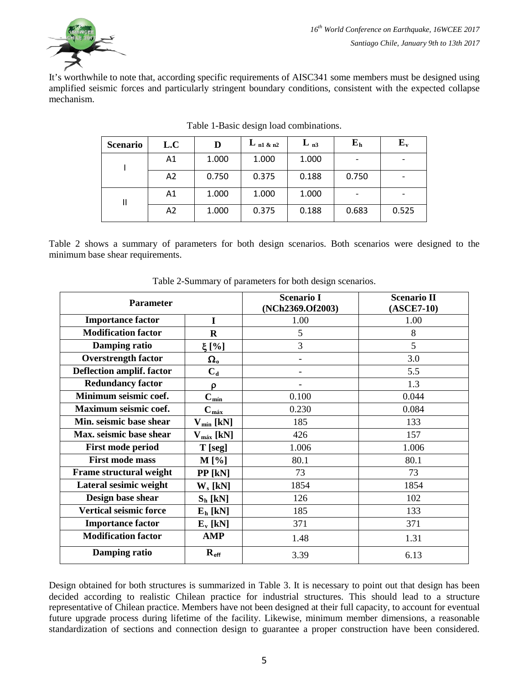

It's worthwhile to note that, according specific requirements of AISC341 some members must be designed using amplified seismic forces and particularly stringent boundary conditions, consistent with the expected collapse mechanism.

| <b>Scenario</b> | L.C | D     | $L_{n1\ \&\ n2}$ | $L_{n3}$ | $E_h$ | ${\bf E}_{\bf v}$ |
|-----------------|-----|-------|------------------|----------|-------|-------------------|
|                 | A1  | 1.000 | 1.000            | 1.000    |       |                   |
|                 | A2  | 0.750 | 0.375            | 0.188    | 0.750 |                   |
| Ш               | A1  | 1.000 | 1.000            | 1.000    |       |                   |
|                 | A2  | 1.000 | 0.375            | 0.188    | 0.683 | 0.525             |

| Table 1-Basic design load combinations. |  |
|-----------------------------------------|--|
|-----------------------------------------|--|

Table 2 shows a summary of parameters for both design scenarios. Both scenarios were designed to the minimum base shear requirements.

| <b>Parameter</b>               |                       | <b>Scenario I</b><br>(NCh2369.Of2003) | <b>Scenario II</b><br>$(ASCE7-10)$ |  |
|--------------------------------|-----------------------|---------------------------------------|------------------------------------|--|
| <b>Importance factor</b>       | I                     | 1.00                                  | 1.00                               |  |
| <b>Modification factor</b>     | $\bf R$               | 5                                     | 8                                  |  |
| Damping ratio                  | $\xi$ [%]             | 3                                     | 5                                  |  |
| <b>Overstrength factor</b>     | $\Omega_{o}$          |                                       | 3.0                                |  |
| Deflection amplif. factor      | $C_{d}$               |                                       | 5.5                                |  |
| <b>Redundancy factor</b>       | ρ                     |                                       | 1.3                                |  |
| Minimum seismic coef.          | $C_{min}$             | 0.100                                 | 0.044                              |  |
| Maximum seismic coef.          | $C_{m4x}$             | 0.230                                 | 0.084                              |  |
| Min. seismic base shear        | $V_{min}$ [kN]        | 185                                   | 133                                |  |
| Max. seismic base shear        | $V_{\text{max}}$ [kN] | 426                                   | 157                                |  |
| <b>First mode period</b>       | $T$ [seg]             | 1.006                                 | 1.006                              |  |
| <b>First mode mass</b>         | $M[\%]$               | 80.1                                  | 80.1                               |  |
| <b>Frame structural weight</b> | $PP$ [kN]             | 73                                    | 73                                 |  |
| Lateral sesimic weight         | $W_s$ [kN]            | 1854                                  | 1854                               |  |
| Design base shear              | $S_h$ [kN]            | 126                                   | 102                                |  |
| <b>Vertical seismic force</b>  | $E_h$ [kN]            | 185                                   | 133                                |  |
| <b>Importance factor</b>       | $E_v$ [kN]            | 371                                   | 371                                |  |
| <b>Modification factor</b>     | <b>AMP</b>            | 1.48                                  | 1.31                               |  |
| Damping ratio                  | $R_{\text{eff}}$      | 3.39                                  | 6.13                               |  |

Table 2-Summary of parameters for both design scenarios.

Design obtained for both structures is summarized in Table 3. It is necessary to point out that design has been decided according to realistic Chilean practice for industrial structures. This should lead to a structure representative of Chilean practice. Members have not been designed at their full capacity, to account for eventual future upgrade process during lifetime of the facility. Likewise, minimum member dimensions, a reasonable standardization of sections and connection design to guarantee a proper construction have been considered.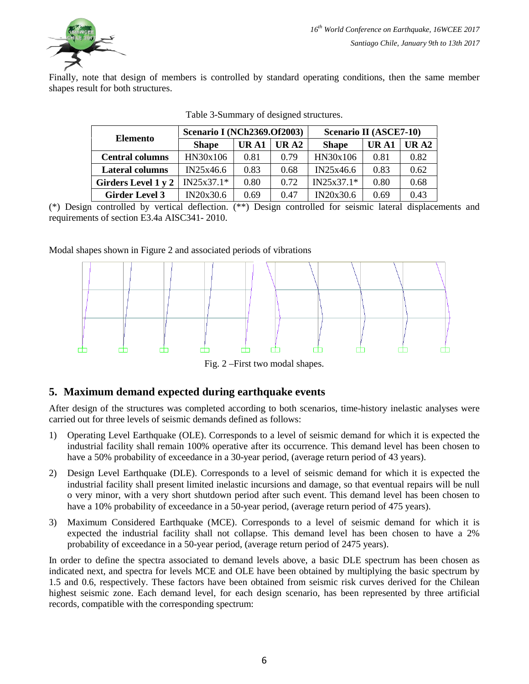

Finally, note that design of members is controlled by standard operating conditions, then the same member shapes result for both structures.

| <b>Elemento</b>            | <b>Scenario I (NCh2369.0f2003)</b> |       |                    | Scenario II (ASCE7-10) |       |             |  |
|----------------------------|------------------------------------|-------|--------------------|------------------------|-------|-------------|--|
|                            | <b>Shape</b>                       | UR A1 | $\overline{UR}$ A2 | <b>Shape</b>           | UR A1 | <b>URA2</b> |  |
| <b>Central columns</b>     | HN30x106                           | 0.81  | 0.79               | HN30x106               | 0.81  | 0.82        |  |
| <b>Lateral columns</b>     | IN25x46.6                          | 0.83  | 0.68               | IN25x46.6              | 0.83  | 0.62        |  |
| <b>Girders Level 1 y 2</b> | $IN25x37.1*$                       | 0.80  | 0.72               | $IN25x37.1*$           | 0.80  | 0.68        |  |
| <b>Girder Level 3</b>      | IN20x30.6                          | 0.69  | 0.47               | IN20x30.6              | 0.69  | 0.43        |  |

|  | Table 3-Summary of designed structures. |  |  |  |
|--|-----------------------------------------|--|--|--|
|--|-----------------------------------------|--|--|--|

(\*) Design controlled by vertical deflection. (\*\*) Design controlled for seismic lateral displacements and requirements of section E3.4a AISC341- 2010.

#### Modal shapes shown in Figure 2 and associated periods of vibrations



Fig. 2 –First two modal shapes.

# **5. Maximum demand expected during earthquake events**

After design of the structures was completed according to both scenarios, time-history inelastic analyses were carried out for three levels of seismic demands defined as follows:

- 1) Operating Level Earthquake (OLE). Corresponds to a level of seismic demand for which it is expected the industrial facility shall remain 100% operative after its occurrence. This demand level has been chosen to have a 50% probability of exceedance in a 30-year period, (average return period of 43 years).
- 2) Design Level Earthquake (DLE). Corresponds to a level of seismic demand for which it is expected the industrial facility shall present limited inelastic incursions and damage, so that eventual repairs will be null o very minor, with a very short shutdown period after such event. This demand level has been chosen to have a 10% probability of exceedance in a 50-year period, (average return period of 475 years).
- 3) Maximum Considered Earthquake (MCE). Corresponds to a level of seismic demand for which it is expected the industrial facility shall not collapse. This demand level has been chosen to have a 2% probability of exceedance in a 50-year period, (average return period of 2475 years).

In order to define the spectra associated to demand levels above, a basic DLE spectrum has been chosen as indicated next, and spectra for levels MCE and OLE have been obtained by multiplying the basic spectrum by 1.5 and 0.6, respectively. These factors have been obtained from seismic risk curves derived for the Chilean highest seismic zone. Each demand level, for each design scenario, has been represented by three artificial records, compatible with the corresponding spectrum: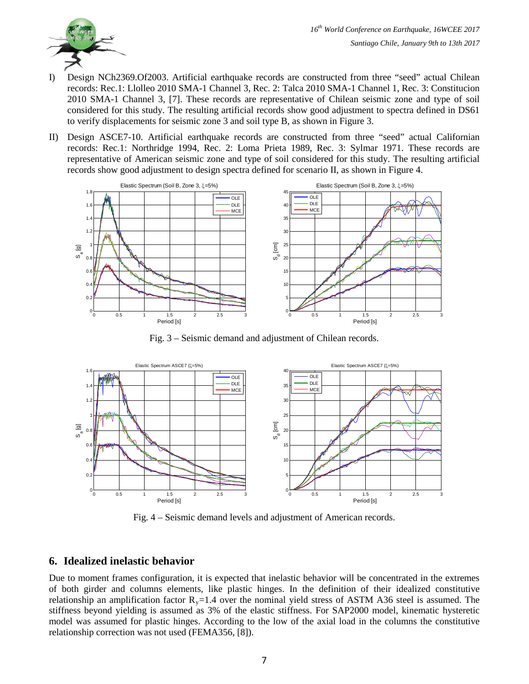

- I) Design NCh2369.Of2003. Artificial earthquake records are constructed from three "seed" actual Chilean records: Rec.1: Llolleo 2010 SMA-1 Channel 3, Rec. 2: Talca 2010 SMA-1 Channel 1, Rec. 3: Constitucion 2010 SMA-1 Channel 3, [7]. These records are representative of Chilean seismic zone and type of soil considered for this study. The resulting artificial records show good adjustment to spectra defined in DS61 to verify displacements for seismic zone 3 and soil type B, as shown in Figure 3.
- II) Design ASCE7-10. Artificial earthquake records are constructed from three "seed" actual Californian records: Rec.1: Northridge 1994, Rec. 2: Loma Prieta 1989, Rec. 3: Sylmar 1971. These records are representative of American seismic zone and type of soil considered for this study. The resulting artificial records show good adjustment to design spectra defined for scenario II, as shown in Figure 4.



Fig. 3 – Seismic demand and adjustment of Chilean records.



Fig. 4 – Seismic demand levels and adjustment of American records.

# **6. Idealized inelastic behavior**

Due to moment frames configuration, it is expected that inelastic behavior will be concentrated in the extremes of both girder and columns elements, like plastic hinges. In the definition of their idealized constitutive relationship an amplification factor  $R_y=1.4$  over the nominal yield stress of ASTM A36 steel is assumed. The stiffness beyond yielding is assumed as 3% of the elastic stiffness. For SAP2000 model, kinematic hysteretic model was assumed for plastic hinges. According to the low of the axial load in the columns the constitutive relationship correction was not used (FEMA356, [8]).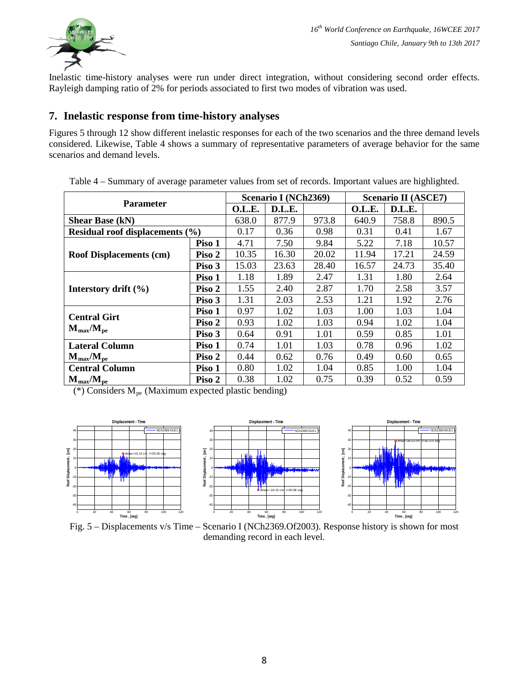

Inelastic time-history analyses were run under direct integration, without considering second order effects. Rayleigh damping ratio of 2% for periods associated to first two modes of vibration was used.

# **7. Inelastic response from time-history analyses**

Figures 5 through 12 show different inelastic responses for each of the two scenarios and the three demand levels considered. Likewise, Table 4 shows a summary of representative parameters of average behavior for the same scenarios and demand levels.

| <b>Parameter</b>                |        | Scenario I (NCh2369) |        |       | <b>Scenario II (ASCE7)</b> |        |       |
|---------------------------------|--------|----------------------|--------|-------|----------------------------|--------|-------|
|                                 |        | O.L.E.               | D.L.E. |       | O.L.E.                     | D.L.E. |       |
| <b>Shear Base (kN)</b>          |        | 638.0                | 877.9  | 973.8 | 640.9                      | 758.8  | 890.5 |
| Residual roof displacements (%) |        | 0.17                 | 0.36   | 0.98  | 0.31                       | 0.41   | 1.67  |
|                                 | Piso 1 | 4.71                 | 7.50   | 9.84  | 5.22                       | 7.18   | 10.57 |
| <b>Roof Displacements (cm)</b>  | Piso 2 | 10.35                | 16.30  | 20.02 | 11.94                      | 17.21  | 24.59 |
|                                 | Piso 3 | 15.03                | 23.63  | 28.40 | 16.57                      | 24.73  | 35.40 |
|                                 | Piso 1 | 1.18                 | 1.89   | 2.47  | 1.31                       | 1.80   | 2.64  |
| Interstory drift $(\% )$        | Piso 2 | 1.55                 | 2.40   | 2.87  | 1.70                       | 2.58   | 3.57  |
|                                 | Piso 3 | 1.31                 | 2.03   | 2.53  | 1.21                       | 1.92   | 2.76  |
| <b>Central Girt</b>             | Piso 1 | 0.97                 | 1.02   | 1.03  | 1.00                       | 1.03   | 1.04  |
|                                 | Piso 2 | 0.93                 | 1.02   | 1.03  | 0.94                       | 1.02   | 1.04  |
| $M_{\rm max}/M_{\rm pe}$        | Piso 3 | 0.64                 | 0.91   | 1.01  | 0.59                       | 0.85   | 1.01  |
| <b>Lateral Column</b>           | Piso 1 | 0.74                 | 1.01   | 1.03  | 0.78                       | 0.96   | 1.02  |
| $M_{\rm max}/M_{\rm pe}$        | Piso 2 | 0.44                 | 0.62   | 0.76  | 0.49                       | 0.60   | 0.65  |
| <b>Central Column</b>           | Piso 1 | 0.80                 | 1.02   | 1.04  | 0.85                       | 1.00   | 1.04  |
| $M_{\rm max}/M_{\rm ne}$        | Piso 2 | 0.38                 | 1.02   | 0.75  | 0.39                       | 0.52   | 0.59  |

Table 4 – Summary of average parameter values from set of records. Important values are highlighted.

(\*) Considers  $M_{pe}$  (Maximum expected plastic bending)





Fig. 5 – Displacements v/s Time – Scenario I (NCh2369.Of2003). Response history is shown for most demanding record in each level.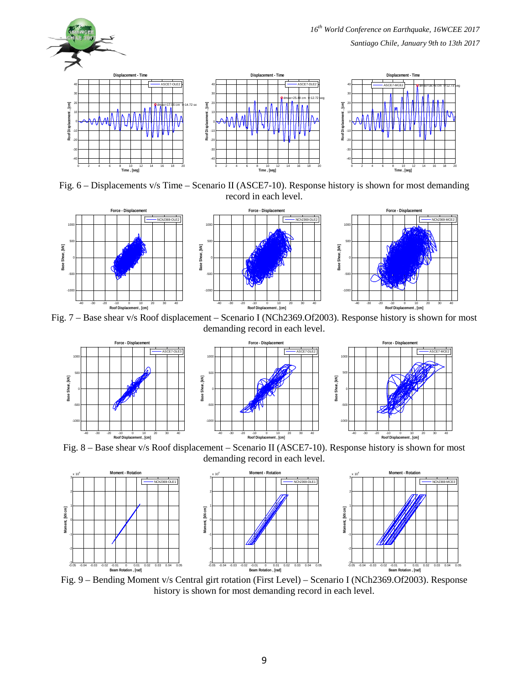

Fig. 6 – Displacements v/s Time – Scenario II (ASCE7-10). Response history is shown for most demanding record in each level.



Fig. 7 – Base shear v/s Roof displacement – Scenario I (NCh2369.Of2003). Response history is shown for most demanding record in each level.





Fig. 8 – Base shear v/s Roof displacement – Scenario II (ASCE7-10). Response history is shown for most demanding record in each level.







Fig. 9 – Bending Moment v/s Central girt rotation (First Level) – Scenario I (NCh2369.Of2003). Response history is shown for most demanding record in each level.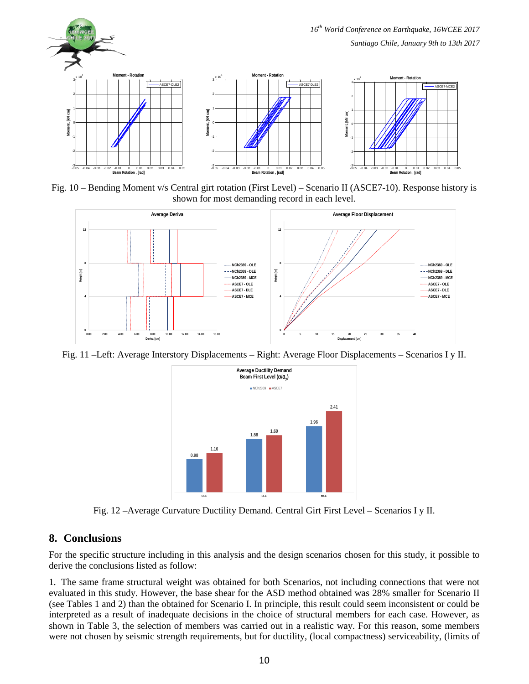

Fig. 10 – Bending Moment v/s Central girt rotation (First Level) – Scenario II (ASCE7-10). Response history is shown for most demanding record in each level.



Fig. 11 –Left: Average Interstory Displacements – Right: Average Floor Displacements – Scenarios I y II.



Fig. 12 –Average Curvature Ductility Demand. Central Girt First Level – Scenarios I y II.

# **8. Conclusions**

For the specific structure including in this analysis and the design scenarios chosen for this study, it possible to derive the conclusions listed as follow:

1. The same frame structural weight was obtained for both Scenarios, not including connections that were not evaluated in this study. However, the base shear for the ASD method obtained was 28% smaller for Scenario II (see Tables 1 and 2) than the obtained for Scenario I. In principle, this result could seem inconsistent or could be interpreted as a result of inadequate decisions in the choice of structural members for each case. However, as shown in Table 3, the selection of members was carried out in a realistic way. For this reason, some members were not chosen by seismic strength requirements, but for ductility, (local compactness) serviceability, (limits of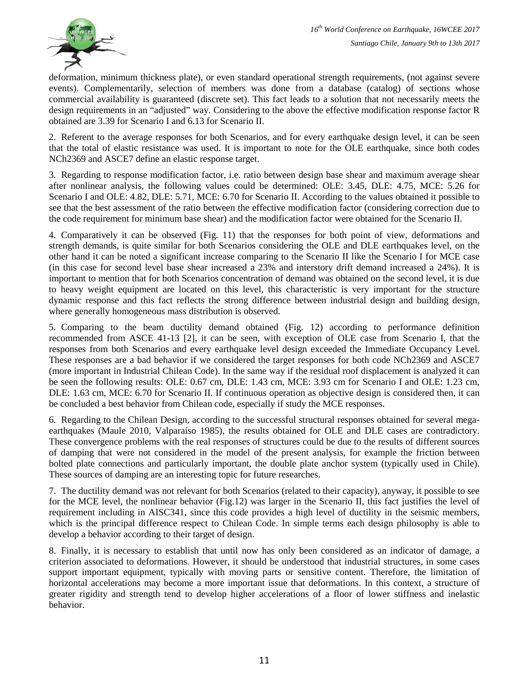

deformation, minimum thickness plate), or even standard operational strength requirements, (not against severe events). Complementarily, selection of members was done from a database (catalog) of sections whose commercial availability is guaranteed (discrete set). This fact leads to a solution that not necessarily meets the design requirements in an "adjusted" way. Considering to the above the effective modification response factor R obtained are 3.39 for Scenario I and 6.13 for Scenario II.

2. Referent to the average responses for both Scenarios, and for every earthquake design level, it can be seen that the total of elastic resistance was used. It is important to note for the OLE earthquake, since both codes NCh2369 and ASCE7 define an elastic response target.

3. Regarding to response modification factor, i.e. ratio between design base shear and maximum average shear after nonlinear analysis, the following values could be determined: OLE: 3.45, DLE: 4.75, MCE: 5.26 for Scenario I and OLE: 4.82, DLE: 5.71, MCE: 6.70 for Scenario II. According to the values obtained it possible to see that the best assessment of the ratio between the effective modification factor (considering correction due to the code requirement for minimum base shear) and the modification factor were obtained for the Scenario II.

4. Comparatively it can be observed (Fig. 11) that the responses for both point of view, deformations and strength demands, is quite similar for both Scenarios considering the OLE and DLE earthquakes level, on the other hand it can be noted a significant increase comparing to the Scenario II like the Scenario I for MCE case (in this case for second level base shear increased a 23% and interstory drift demand increased a 24%). It is important to mention that for both Scenarios concentration of demand was obtained on the second level, it is due to heavy weight equipment are located on this level, this characteristic is very important for the structure dynamic response and this fact reflects the strong difference between industrial design and building design, where generally homogeneous mass distribution is observed.

5. Comparing to the beam ductility demand obtained (Fig. 12) according to performance definition recommended from ASCE 41-13 [2], it can be seen, with exception of OLE case from Scenario I, that the responses from both Scenarios and every earthquake level design exceeded the Immediate Occupancy Level. These responses are a bad behavior if we considered the target responses for both code NCh2369 and ASCE7 (more important in Industrial Chilean Code). In the same way if the residual roof displacement is analyzed it can be seen the following results: OLE: 0.67 cm, DLE: 1.43 cm, MCE: 3.93 cm for Scenario I and OLE: 1.23 cm, DLE: 1.63 cm, MCE: 6.70 for Scenario II. If continuous operation as objective design is considered then, it can be concluded a best behavior from Chilean code, especially if study the MCE responses.

6. Regarding to the Chilean Design, according to the successful structural responses obtained for several megaearthquakes (Maule 2010, Valparaíso 1985), the results obtained for OLE and DLE cases are contradictory. These convergence problems with the real responses of structures could be due to the results of different sources of damping that were not considered in the model of the present analysis, for example the friction between bolted plate connections and particularly important, the double plate anchor system (typically used in Chile). These sources of damping are an interesting topic for future researches.

7. The ductility demand was not relevant for both Scenarios (related to their capacity), anyway, it possible to see for the MCE level, the nonlinear behavior (Fig.12) was larger in the Scenario II, this fact justifies the level of requirement including in AISC341, since this code provides a high level of ductility in the seismic members, which is the principal difference respect to Chilean Code. In simple terms each design philosophy is able to develop a behavior according to their target of design.

8. Finally, it is necessary to establish that until now has only been considered as an indicator of damage, a criterion associated to deformations. However, it should be understood that industrial structures, in some cases support important equipment, typically with moving parts or sensitive content. Therefore, the limitation of horizontal accelerations may become a more important issue that deformations. In this context, a structure of greater rigidity and strength tend to develop higher accelerations of a floor of lower stiffness and inelastic behavior.